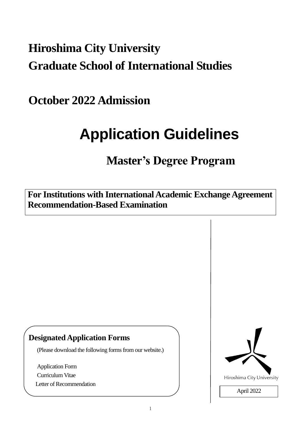## **Hiroshima City University Graduate School of International Studies**

**October 2022 Admission**

# **Application Guidelines**

## **Master's Degree Program**

**For Institutions with International Academic Exchange Agreement Recommendation-Based Examination**

### **Designated Application Forms**

(Please download the following forms from our website.)

Application Form Curriculum Vitae Letter of Recommendation

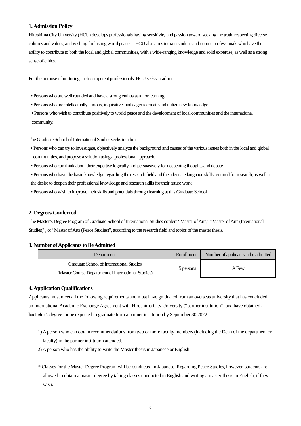#### **1. Admission Policy**

Hiroshima City University (HCU) develops professionals having sensitivity and passion toward seeking the truth, respecting diverse cultures and values, and wishing for lasting world peace. HCU also aims to train students to become professionals who have the ability to contribute to both the local and global communities, with a wide-ranging knowledge and solid expertise, as well as a strong sense of ethics.

For the purpose of nurturing such competent professionals, HCU seeks to admit :

- Persons who are well rounded and have a strong enthusiasm for learning.
- Persons who are intellectually curious, inquisitive, and eager to create and utilize new knowledge.
- Persons who wish to contribute positively to world peace and the development of local communities and the international community.

The Graduate School of International Studies seeks to admit:

- Persons who can try to investigate, objectively analyze the background and causes of the various issues both in the local and global communities, and propose a solution using a professional approach.
- Persons who can think about their expertise logically and persuasively for deepening thoughts and debate
- Persons who have the basic knowledge regarding the research field and the adequate language skills required for research, as well as the desire to deepen their professional knowledge and research skills for their future work
- Persons who wish to improve their skills and potentials through learning at this Graduate School

#### **2. Degrees Conferred**

The Master's Degree Programof Graduate School of International Studies confers "Master of Arts," "Master of Arts (International Studies)", or "Master of Arts (Peace Studies)", according to the research field and topics of the master thesis.

#### **3. Number of Applicants to Be Admitted**

| Department                                          | Enrollment | Number of applicants to be admitted |
|-----------------------------------------------------|------------|-------------------------------------|
| Graduate School of International Studies            | 15 persons | A Few                               |
| (Master Course Department of International Studies) |            |                                     |

#### **4. Application Qualifications**

Applicants must meet all the following requirements and must have graduated from an overseas university that has concluded an International Academic Exchange Agreement with Hiroshima City University ("partner institution") and have obtained a bachelor's degree, or be expected to graduate from a partner institution by September 30 2022.

- 1) A person who can obtain recommendations from two or more faculty members (including the Dean of the department or faculty) in the partner institution attended.
- 2) A person who has the ability to write the Master thesis in Japanese or English.
- \* Classes for the Master Degree Program will be conducted in Japanese. Regarding Peace Studies, however, students are allowed to obtain a master degree by taking classes conducted in English and writing a master thesis in English, if they wish.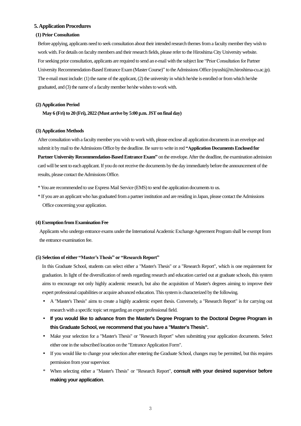#### **5. Application Procedures**

#### **(1) Prior Consultation**

Before applying, applicants need to seek consultation about their intended research themes froma faculty member they wish to work with. For details on faculty members and their research fields, please refer to the Hiroshima City University website. For seeking prior consultation, applicants are required to send an e-mail with the subject line "Prior Consultation for Partner University Recommendation-Based Entrance Exam (Master Course)" to the Admissions Office (nyushi@m.hiroshima-cu.ac.jp). The e-mail must include:(1) the name of the applicant, (2) the university in which he/she is enrolled or from which he/she graduated, and (3) the name of a faculty member he/she wishes to work with.

#### **(2) Application Period**

**May 6 (Fri) to 20 (Fri), 2022 (Must arrive by 5:00 p.m. JST on final day)**

#### **(3) Application Methods**

After consultation with a faculty member you wish to work with, please enclose all application documents in an envelope and submit it by mail to the Admissions Office by the deadline. Be sure to write in red **"Application Documents Enclosed for Partner University Recommendation-Based Entrance Exam"** on the envelope. After the deadline, the examination admission card will be sent to each applicant. If you do not receive the documents by the day immediately before the announcement of the results, please contact the Admissions Office.

- \* You are recommended to use Express Mail Service (EMS) to send the application documents to us.
- \* If you are an applicant who has graduated from a partner institution and are residing in Japan, please contact the Admissions Office concerning your application.

#### **(4) Exemption from Examination Fee**

Applicants who undergo entrance exams under the International Academic Exchange Agreement Program shall be exempt from the entrance examination fee.

#### **(5) Selection of either "Master'sThesis" or "Research Report"**

In this Graduate School, students can select either a "Master's Thesis" or a "Research Report", which is one requirement for graduation. In light of the diversification of needs regarding research and education carried out at graduate schools, this system aims to encourage not only highly academic research, but also the acquisition of Master's degrees aiming to improve their expert professional capabilities or acquire advanced education. This system is characterized by the following.

- A "Master's Thesis" aims to create a highly academic expert thesis. Conversely, a "Research Report" is for carrying out research with a specific topic set regarding an expert professional field.
- **If you would like to advance from the Master's Degree Program to the Doctoral Degree Program in this Graduate School, we recommend that you have a "Master's Thesis".**
- Make your selection for a "Master's Thesis" or "Research Report" when submitting your application documents. Select either one in the subscribed location on the "Entrance Application Form".
- If you would like to change your selection after entering the Graduate School, changes may be permitted, but this requires permission from your supervisor.
- \* When selecting either a "Master's Thesis" or "Research Report", **consult with your desired supervisor before making your application**.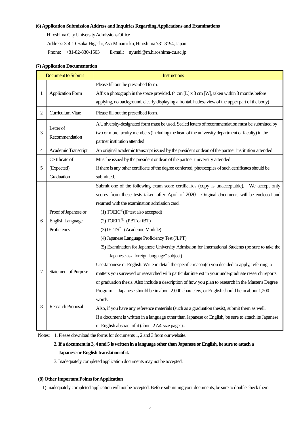#### **(6) Application SubmissionAddress and Inquiries Regarding Applications and Examinations**

Hiroshima City University Admissions Office

Address: 3-4-1 Ozuka-Higashi, Asa-Minami-ku, Hiroshima 731-3194, Japan

Phone: +81-82-830-1503 E-mail: nyushi@m.hiroshima-cu.ac.jp

| <b>Document to Submit</b> |                             | <b>Instructions</b>                                                                                   |  |  |
|---------------------------|-----------------------------|-------------------------------------------------------------------------------------------------------|--|--|
|                           | <b>Application Form</b>     | Please fill out the prescribed form.                                                                  |  |  |
| 1                         |                             | Affix a photograph in the space provided. (4 cm [L] x 3 cm [W], taken within 3 months before          |  |  |
|                           |                             | applying, no background, clearly displaying a frontal, hatless view of the upper part of the body)    |  |  |
| 2                         | Curriculum Vitae            | Please fill out the prescribed form.                                                                  |  |  |
|                           | Letter of                   | A University-designated form must be used. Sealed letters of recommendation must be submitted by      |  |  |
| 3                         | Recommendation              | two or more faculty members (including the head of the university department or faculty) in the       |  |  |
|                           |                             | partner institution attended                                                                          |  |  |
| 4                         | Academic Transcript         | An original academic transcript issued by the president or dean of the partner institution attended.  |  |  |
|                           | Certificate of              | Must be issued by the president or dean of the partner university attended.                           |  |  |
| 5                         | (Expected)                  | If there is any other certificate of the degree conferred, photocopies of such certificates should be |  |  |
|                           | Graduation                  | submitted.                                                                                            |  |  |
|                           |                             | Submit one of the following exam score certificates (copy is unacceptable). We accept only            |  |  |
|                           |                             | scores from these tests taken after April of 2020. Original documents will be enclosed and            |  |  |
|                           |                             | returned with the examination admission card.                                                         |  |  |
|                           | Proof of Japanese or        | $(1) TOEIC^{\circledR}$ (IP test also accepted)                                                       |  |  |
| 6                         | <b>English Language</b>     | $(2) TOEFL^{\circledR}$ (PBT or iBT)                                                                  |  |  |
|                           | Proficiency                 | $(3)$ IELTS <sup>"</sup> (Academic Module)                                                            |  |  |
|                           |                             | (4) Japanese Language Proficiency Test (JLPT)                                                         |  |  |
|                           |                             | (5) Examination for Japanese University Admission for International Students (be sure to take the     |  |  |
|                           |                             | "Japanese as a foreign language" subject)                                                             |  |  |
|                           | <b>Statement of Purpose</b> | Use Japanese or English. Write in detail the specific reason(s) you decided to apply, referring to    |  |  |
| 7                         |                             | matters you surveyed or researched with particular interest in your undergraduate research reports    |  |  |
|                           |                             | or graduation thesis. Also include a description of how you plan to research in the Master's Degree   |  |  |
|                           | <b>Research Proposal</b>    | Japanese should be in about 2,000 characters, or English should be in about 1,200<br>Program.         |  |  |
| 8                         |                             | words.                                                                                                |  |  |
|                           |                             | Also, if you have any reference materials (such as a graduation thesis), submit them as well.         |  |  |
|                           |                             | If a document is written in a language other than Japanese or English, be sure to attach its Japanese |  |  |
|                           |                             | or English abstract of it (about 2 A4-size pages)                                                     |  |  |

#### **(7) Application Documentation**

Notes: 1. Please download the forms for documents 1, 2 and 3 from our website.

#### **2. If a document in 3, 4 and 5 is written in a language other than Japanese or English, be sure to attach a Japanese or English translation of it.**

3. Inadequately completed application documents may not be accepted.

#### **(8) Other Important Pointsfor Application**

1) Inadequately completed application will not be accepted. Before submitting your documents, be sure to double check them.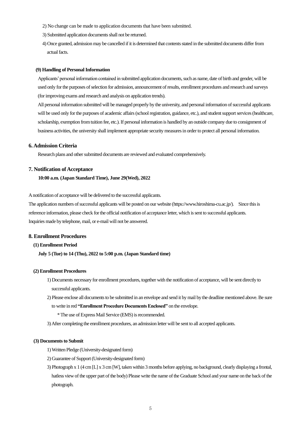- 2) No change can be made to application documents that have been submitted.
- 3) Submitted application documents shall not be returned.
- 4) Once granted, admission may be cancelled if it is determined that contents stated in the submitted documents differ from actual facts.

#### **(9) Handling of Personal Information**

Applicants' personal information contained in submitted application documents, such as name, date of birth and gender, will be used only for the purposes of selection for admission, announcement of results, enrollment procedures and research and surveys (for improving exams and research and analysis on application trends).

All personal information submitted will be managed properly by the university, and personal information ofsuccessful applicants will be used only for the purposes of academic affairs (school registration, guidance, etc.), and student support services (healthcare, scholarship, exemption from tuition fee, etc.). If personal information is handled by an outside company due to consignment of business activities, the university shall implement appropriate security measures in order to protect all personal information.

#### **6. Admission Criteria**

Research plans and other submitted documents are reviewed and evaluated comprehensively.

#### **7. Notification of Acceptance**

#### **10:00 a.m. (Japan Standard Time), June 29(Wed), 2022**

A notification of acceptance will be delivered to the successful applicants.

The application numbers of successful applicants will be posted on our website [\(https://www.hiroshima-cu.ac.jp/\)](https://www.hiroshima-cu.ac.jp/). Since this is reference information, please check for the official notification of acceptance letter, which is sent to successful applicants. Inquiries made by telephone, mail, or e-mail will not be answered.

#### **8. Enrollment Procedures**

#### **(1) Enrollment Period**

**July 5 (Tue) to 14 (Thu), 2022 to 5:00 p.m. (Japan Standard time)**

#### **(2) Enrollment Procedures**

- 1) Documents necessary for enrollment procedures, together with the notification of acceptance, will be sent directly to successful applicants.
- 2) Please enclose all documents to be submitted in an envelope and send it by mail by the deadline mentioned above. Be sure to write in red **"Enrollment Procedure Documents Enclosed"** on the envelope.
	- \*The use of Express Mail Service (EMS) is recommended.
- 3) After completing the enrollment procedures, an admission letter will be sent to all accepted applicants.

#### **(3) Documents to Submit**

- 1) Written Pledge (University-designated form)
- 2) Guarantee of Support(University-designated form)
- 3) Photograph x 1 (4 cm [L] x 3 cm [W], taken within 3 months before applying, no background, clearly displaying a frontal, hatless viewof the upper part of the body) Please write the name of the Graduate School and your name on the back of the photograph.